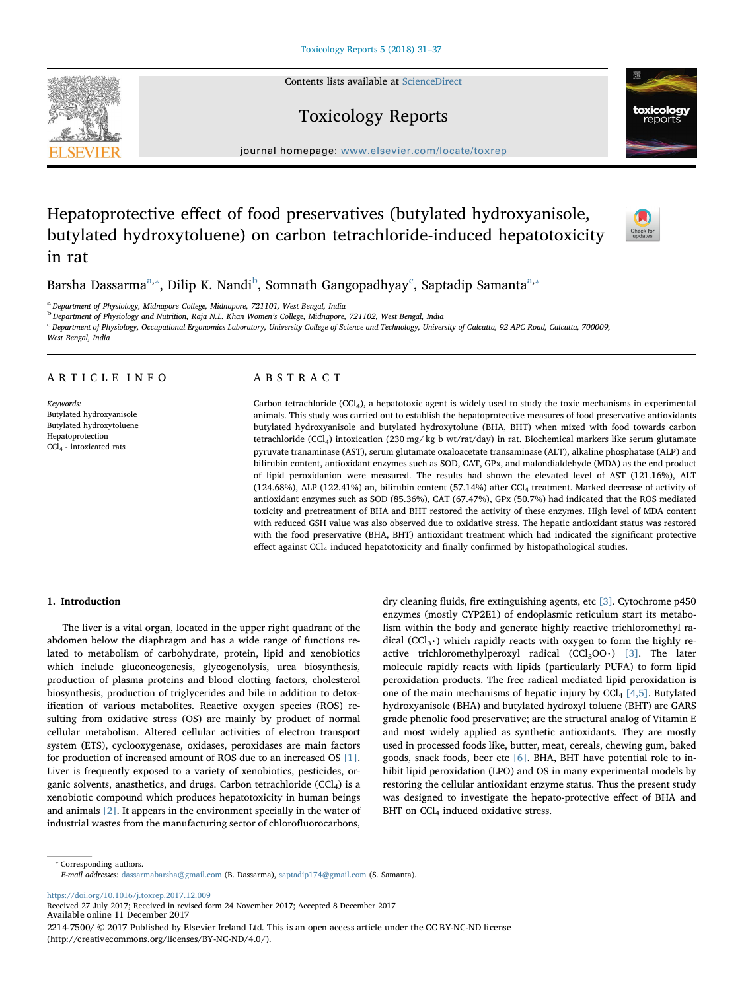Contents lists available at [ScienceDirect](http://www.sciencedirect.com/science/journal/22147500)

# Toxicology Reports

journal homepage: [www.elsevier.com/locate/toxrep](https://www.elsevier.com/locate/toxrep)

# Hepatoprotective effect of food preservatives (butylated hydroxyanisole, butylated hydroxytoluene) on carbon tetrachloride-induced hepatotoxicity in rat



B[a](#page-0-0)rsha Dassarma $a_*,$  Dilip K. Nandi $^{\rm b}$  $^{\rm b}$  $^{\rm b}$ , Somnath Gangopadhyay $^{\rm c}$  $^{\rm c}$  $^{\rm c}$ , Saptadip Samanta $^{a_*,}$ 

<span id="page-0-0"></span><sup>a</sup> Department of Physiology, Midnapore College, Midnapore, 721101, West Bengal, India

<span id="page-0-2"></span><sup>b</sup> Department of Physiology and Nutrition, Raja N.L. Khan Women's College, Midnapore, 721102, West Bengal, India

<span id="page-0-3"></span><sup>c</sup> Department of Physiology, Occupational Ergonomics Laboratory, University College of Science and Technology, University of Calcutta, 92 APC Road, Calcutta, 700009, West Bengal, India

# ARTICLE INFO

Keywords: Butylated hydroxyanisole Butylated hydroxytoluene Hepatoprotection CCl4 - intoxicated rats

# ABSTRACT

Carbon tetrachloride (CCl4), a hepatotoxic agent is widely used to study the toxic mechanisms in experimental animals. This study was carried out to establish the hepatoprotective measures of food preservative antioxidants butylated hydroxyanisole and butylated hydroxytolune (BHA, BHT) when mixed with food towards carbon tetrachloride (CCl4) intoxication (230 mg/ kg b wt/rat/day) in rat. Biochemical markers like serum glutamate pyruvate tranaminase (AST), serum glutamate oxaloacetate transaminase (ALT), alkaline phosphatase (ALP) and bilirubin content, antioxidant enzymes such as SOD, CAT, GPx, and malondialdehyde (MDA) as the end product of lipid peroxidanion were measured. The results had shown the elevated level of AST (121.16%), ALT (124.68%), ALP (122.41%) an, bilirubin content (57.14%) after CCl4 treatment. Marked decrease of activity of antioxidant enzymes such as SOD (85.36%), CAT (67.47%), GPx (50.7%) had indicated that the ROS mediated toxicity and pretreatment of BHA and BHT restored the activity of these enzymes. High level of MDA content with reduced GSH value was also observed due to oxidative stress. The hepatic antioxidant status was restored with the food preservative (BHA, BHT) antioxidant treatment which had indicated the significant protective effect against CCl<sub>4</sub> induced hepatotoxicity and finally confirmed by histopathological studies.

## 1. Introduction

The liver is a vital organ, located in the upper right quadrant of the abdomen below the diaphragm and has a wide range of functions related to metabolism of carbohydrate, protein, lipid and xenobiotics which include gluconeogenesis, glycogenolysis, urea biosynthesis, production of plasma proteins and blood clotting factors, cholesterol biosynthesis, production of triglycerides and bile in addition to detoxification of various metabolites. Reactive oxygen species (ROS) resulting from oxidative stress (OS) are mainly by product of normal cellular metabolism. Altered cellular activities of electron transport system (ETS), cyclooxygenase, oxidases, peroxidases are main factors for production of increased amount of ROS due to an increased OS [\[1\]](#page-5-0). Liver is frequently exposed to a variety of xenobiotics, pesticides, organic solvents, anasthetics, and drugs. Carbon tetrachloride (CCl<sub>4</sub>) is a xenobiotic compound which produces hepatotoxicity in human beings and animals [\[2\].](#page-5-1) It appears in the environment specially in the water of industrial wastes from the manufacturing sector of chlorofluorocarbons,

dry cleaning fluids, fire extinguishing agents, etc [\[3\].](#page-5-2) Cytochrome p450 enzymes (mostly CYP2E1) of endoplasmic reticulum start its metabolism within the body and generate highly reactive trichloromethyl radical (CCl<sub>3</sub> $\cdot$ ) which rapidly reacts with oxygen to form the highly reactive trichloromethylperoxyl radical  $(CCl<sub>3</sub>OO·)$  [\[3\]](#page-5-2). The later molecule rapidly reacts with lipids (particularly PUFA) to form lipid peroxidation products. The free radical mediated lipid peroxidation is one of the main mechanisms of hepatic injury by  $CCl<sub>4</sub> [4,5]$  $CCl<sub>4</sub> [4,5]$ . Butylated hydroxyanisole (BHA) and butylated hydroxyl toluene (BHT) are GARS grade phenolic food preservative; are the structural analog of Vitamin E and most widely applied as synthetic antioxidants. They are mostly used in processed foods like, butter, meat, cereals, chewing gum, baked goods, snack foods, beer etc [\[6\]](#page-6-1). BHA, BHT have potential role to inhibit lipid peroxidation (LPO) and OS in many experimental models by restoring the cellular antioxidant enzyme status. Thus the present study was designed to investigate the hepato-protective effect of BHA and BHT on  $CCl<sub>4</sub>$  induced oxidative stress.

<span id="page-0-1"></span>⁎ Corresponding authors. E-mail addresses: [dassarmabarsha@gmail.com](mailto:dassarmabarsha@gmail.com) (B. Dassarma), [saptadip174@gmail.com](mailto:saptadip174@gmail.com) (S. Samanta).

<https://doi.org/10.1016/j.toxrep.2017.12.009>

Received 27 July 2017; Received in revised form 24 November 2017; Accepted 8 December 2017 Available online 11 December 2017

2214-7500/ © 2017 Published by Elsevier Ireland Ltd. This is an open access article under the CC BY-NC-ND license (http://creativecommons.org/licenses/BY-NC-ND/4.0/).

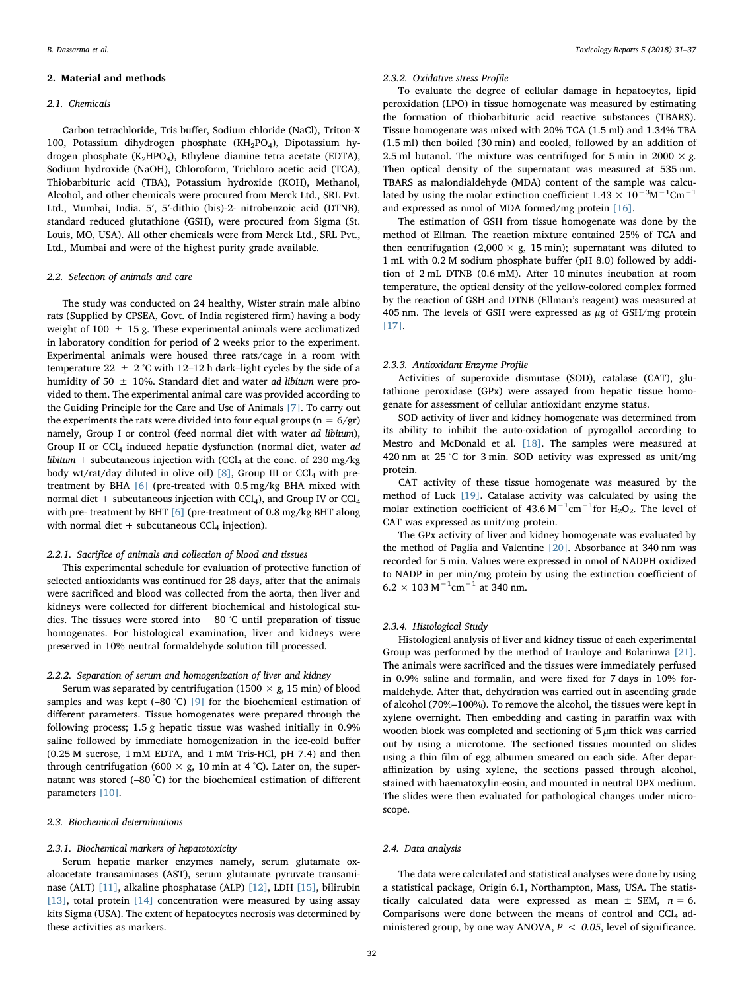#### 2. Material and methods

#### 2.1. Chemicals

Carbon tetrachloride, Tris buffer, Sodium chloride (NaCl), Triton-X 100, Potassium dihydrogen phosphate (KH<sub>2</sub>PO<sub>4</sub>), Dipotassium hydrogen phosphate (K<sub>2</sub>HPO<sub>4</sub>), Ethylene diamine tetra acetate (EDTA), Sodium hydroxide (NaOH), Chloroform, Trichloro acetic acid (TCA), Thiobarbituric acid (TBA), Potassium hydroxide (KOH), Methanol, Alcohol, and other chemicals were procured from Merck Ltd., SRL Pvt. Ltd., Mumbai, India. 5′, 5′-dithio (bis)-2- nitrobenzoic acid (DTNB), standard reduced glutathione (GSH), were procured from Sigma (St. Louis, MO, USA). All other chemicals were from Merck Ltd., SRL Pvt., Ltd., Mumbai and were of the highest purity grade available.

## 2.2. Selection of animals and care

The study was conducted on 24 healthy, Wister strain male albino rats (Supplied by CPSEA, Govt. of India registered firm) having a body weight of 100  $\pm$  15 g. These experimental animals were acclimatized in laboratory condition for period of 2 weeks prior to the experiment. Experimental animals were housed three rats/cage in a room with temperature 22  $\pm$  2 °C with 12–12 h dark–light cycles by the side of a humidity of 50  $\pm$  10%. Standard diet and water *ad libitum* were provided to them. The experimental animal care was provided according to the Guiding Principle for the Care and Use of Animals [\[7\].](#page-6-2) To carry out the experiments the rats were divided into four equal groups ( $n = 6/gr$ ) namely, Group I or control (feed normal diet with water ad libitum), Group II or  $CCl<sub>4</sub>$  induced hepatic dysfunction (normal diet, water ad libitum + subcutaneous injection with (CCl<sub>4</sub> at the conc. of 230 mg/kg body wt/rat/day diluted in olive oil) [\[8\]](#page-6-3), Group III or  $CCl<sub>4</sub>$  with pretreatment by BHA [\[6\]](#page-6-1) (pre-treated with 0.5 mg/kg BHA mixed with normal diet + subcutaneous injection with  $\text{CCl}_4$ ), and Group IV or  $\text{CCl}_4$ with pre- treatment by BHT [\[6\]](#page-6-1) (pre-treatment of 0.8 mg/kg BHT along with normal diet + subcutaneous  $CCl<sub>4</sub>$  injection).

## 2.2.1. Sacrifice of animals and collection of blood and tissues

This experimental schedule for evaluation of protective function of selected antioxidants was continued for 28 days, after that the animals were sacrificed and blood was collected from the aorta, then liver and kidneys were collected for different biochemical and histological studies. The tissues were stored into −80 °C until preparation of tissue homogenates. For histological examination, liver and kidneys were preserved in 10% neutral formaldehyde solution till processed.

## 2.2.2. Separation of serum and homogenization of liver and kidney

Serum was separated by centrifugation (1500  $\times$  g, 15 min) of blood samples and was kept (–80 °C) [\[9\]](#page-6-4) for the biochemical estimation of different parameters. Tissue homogenates were prepared through the following process; 1.5 g hepatic tissue was washed initially in 0.9% saline followed by immediate homogenization in the ice-cold buffer (0.25 M sucrose, 1 mM EDTA, and 1 mM Tris-HCl, pH 7.4) and then through centrifugation (600  $\times$  g, 10 min at 4 °C). Later on, the supernatant was stored (–80 ° C) for the biochemical estimation of different parameters [\[10\]](#page-6-5).

## 2.3. Biochemical determinations

## 2.3.1. Biochemical markers of hepatotoxicity

Serum hepatic marker enzymes namely, serum glutamate oxaloacetate transaminases (AST), serum glutamate pyruvate transaminase (ALT) [\[11\],](#page-6-6) alkaline phosphatase (ALP) [\[12\]](#page-6-7), LDH [\[15\]](#page-6-8), bilirubin [\[13\]](#page-6-9), total protein [\[14\]](#page-6-10) concentration were measured by using assay kits Sigma (USA). The extent of hepatocytes necrosis was determined by these activities as markers.

#### 2.3.2. Oxidative stress Profile

To evaluate the degree of cellular damage in hepatocytes, lipid peroxidation (LPO) in tissue homogenate was measured by estimating the formation of thiobarbituric acid reactive substances (TBARS). Tissue homogenate was mixed with 20% TCA (1.5 ml) and 1.34% TBA (1.5 ml) then boiled (30 min) and cooled, followed by an addition of 2.5 ml butanol. The mixture was centrifuged for 5 min in 2000  $\times$  g. Then optical density of the supernatant was measured at 535 nm. TBARS as malondialdehyde (MDA) content of the sample was calculated by using the molar extinction coefficient  $1.43 \times 10^{-3}$ M<sup>-1</sup>Cm<sup>-1</sup> and expressed as nmol of MDA formed/mg protein [\[16\]](#page-6-11).

The estimation of GSH from tissue homogenate was done by the method of Ellman. The reaction mixture contained 25% of TCA and then centrifugation (2,000  $\times$  g, 15 min); supernatant was diluted to 1 mL with 0.2 M sodium phosphate buffer (pH 8.0) followed by addition of 2 mL DTNB (0.6 mM). After 10 minutes incubation at room temperature, the optical density of the yellow-colored complex formed by the reaction of GSH and DTNB (Ellman's reagent) was measured at 405 nm. The levels of GSH were expressed as  $\mu$ g of GSH/mg protein [\[17\]](#page-6-12).

#### 2.3.3. Antioxidant Enzyme Profile

Activities of superoxide dismutase (SOD), catalase (CAT), glutathione peroxidase (GPx) were assayed from hepatic tissue homogenate for assessment of cellular antioxidant enzyme status.

SOD activity of liver and kidney homogenate was determined from its ability to inhibit the auto-oxidation of pyrogallol according to Mestro and McDonald et al. [\[18\].](#page-6-13) The samples were measured at 420 nm at 25 °C for 3 min. SOD activity was expressed as unit/mg protein.

CAT activity of these tissue homogenate was measured by the method of Luck [\[19\]](#page-6-14). Catalase activity was calculated by using the molar extinction coefficient of 43.6  $M^{-1}$ cm<sup>-1</sup>for H<sub>2</sub>O<sub>2</sub>. The level of CAT was expressed as unit/mg protein.

The GPx activity of liver and kidney homogenate was evaluated by the method of Paglia and Valentine [\[20\].](#page-6-15) Absorbance at 340 nm was recorded for 5 min. Values were expressed in nmol of NADPH oxidized to NADP in per min/mg protein by using the extinction coefficient of  $6.2 \times 103 \text{ M}^{-1} \text{cm}^{-1}$  at 340 nm.

#### 2.3.4. Histological Study

Histological analysis of liver and kidney tissue of each experimental Group was performed by the method of Iranloye and Bolarinwa [\[21\]](#page-6-16). The animals were sacrificed and the tissues were immediately perfused in 0.9% saline and formalin, and were fixed for 7 days in 10% formaldehyde. After that, dehydration was carried out in ascending grade of alcohol (70%–100%). To remove the alcohol, the tissues were kept in xylene overnight. Then embedding and casting in paraffin wax with wooden block was completed and sectioning of  $5 \mu m$  thick was carried out by using a microtome. The sectioned tissues mounted on slides using a thin film of egg albumen smeared on each side. After deparaffinization by using xylene, the sections passed through alcohol, stained with haematoxylin-eosin, and mounted in neutral DPX medium. The slides were then evaluated for pathological changes under microscope.

### 2.4. Data analysis

The data were calculated and statistical analyses were done by using a statistical package, Origin 6.1, Northampton, Mass, USA. The statistically calculated data were expressed as mean  $\pm$  SEM,  $n = 6$ . Comparisons were done between the means of control and  $CCl<sub>4</sub>$  administered group, by one way ANOVA,  $P < 0.05$ , level of significance.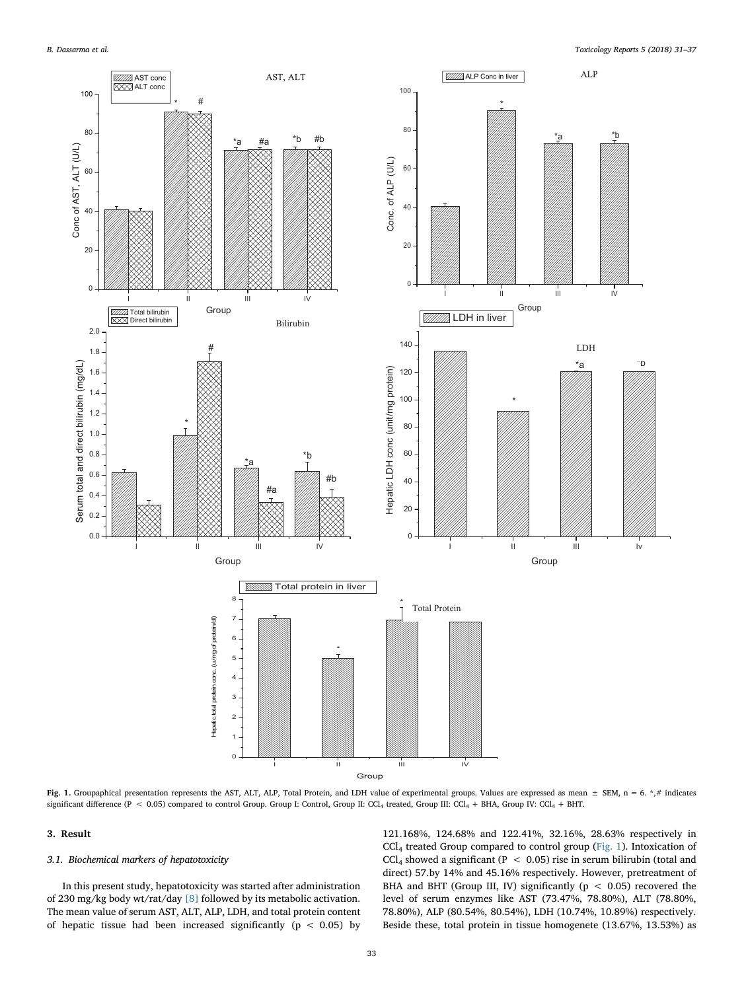<span id="page-2-0"></span>

Fig. 1. Groupaphical presentation represents the AST, ALT, ALP, Total Protein, and LDH value of experimental groups. Values are expressed as mean  $\pm$  SEM, n = 6.  $*,\#$  indicates significant difference (P < 0.05) compared to control Group. Group I: Control, Group II: CCl<sub>4</sub> treated, Group III: CCl<sub>4</sub> + BHA, Group IV: CCl<sub>4</sub> + BHT.

## 3. Result

## 3.1. Biochemical markers of hepatotoxicity

In this present study, hepatotoxicity was started after administration of 230 mg/kg body wt/rat/day [\[8\]](#page-6-3) followed by its metabolic activation. The mean value of serum AST, ALT, ALP, LDH, and total protein content of hepatic tissue had been increased significantly ( $p < 0.05$ ) by

121.168%, 124.68% and 122.41%, 32.16%, 28.63% respectively in CCl4 treated Group compared to control group ([Fig. 1\)](#page-2-0). Intoxication of CCl<sub>4</sub> showed a significant (P  $\leq$  0.05) rise in serum bilirubin (total and direct) 57.by 14% and 45.16% respectively. However, pretreatment of BHA and BHT (Group III, IV) significantly ( $p < 0.05$ ) recovered the level of serum enzymes like AST (73.47%, 78.80%), ALT (78.80%, 78.80%), ALP (80.54%, 80.54%), LDH (10.74%, 10.89%) respectively. Beside these, total protein in tissue homogenete (13.67%, 13.53%) as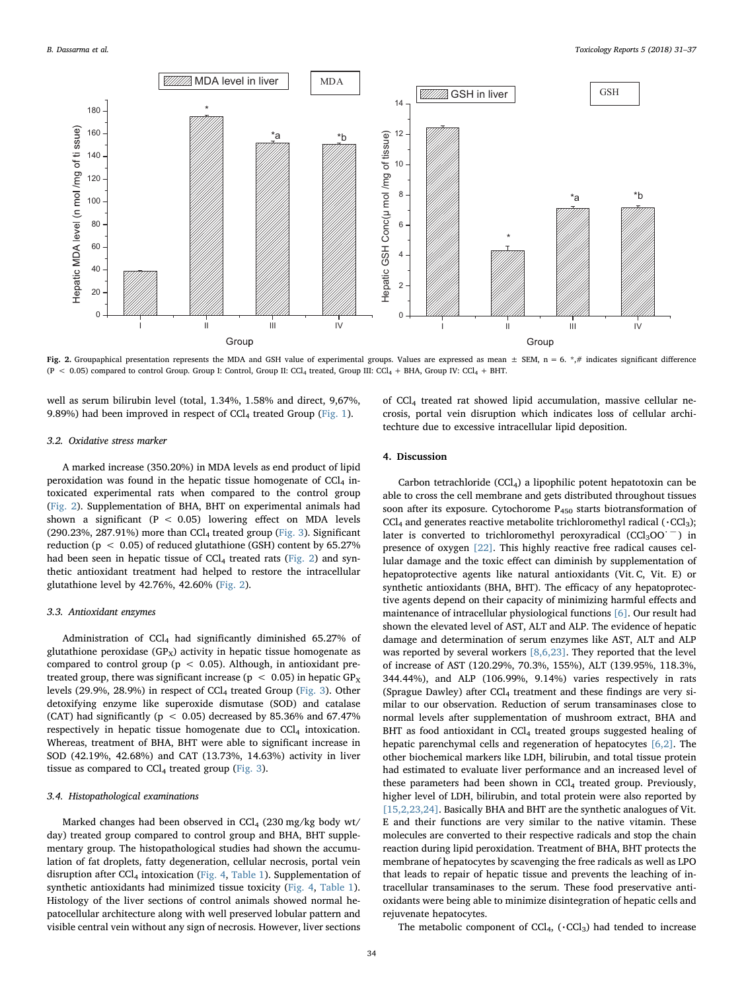<span id="page-3-0"></span>

Fig. 2. Groupaphical presentation represents the MDA and GSH value of experimental groups. Values are expressed as mean  $\pm$  SEM, n = 6. \*,# indicates significant difference  $(P < 0.05)$  compared to control Group. Group I: Control, Group II: CCl<sub>4</sub> treated, Group III: CCl<sub>4</sub> + BHA, Group IV: CCl<sub>4</sub> + BHT.

well as serum bilirubin level (total, 1.34%, 1.58% and direct, 9,67%, 9.89%) had been improved in respect of  $CCl<sub>4</sub>$  treated Group ([Fig. 1](#page-2-0)).

## 3.2. Oxidative stress marker

A marked increase (350.20%) in MDA levels as end product of lipid peroxidation was found in the hepatic tissue homogenate of  $CCl<sub>4</sub>$  intoxicated experimental rats when compared to the control group ([Fig. 2](#page-3-0)). Supplementation of BHA, BHT on experimental animals had shown a significant ( $P < 0.05$ ) lowering effect on MDA levels (290.23%, 287.91%) more than  $CCl<sub>4</sub>$  treated group [\(Fig. 3](#page-4-0)). Significant reduction ( $p < 0.05$ ) of reduced glutathione (GSH) content by 65.27% had been seen in hepatic tissue of  $CCl<sub>4</sub>$  treated rats [\(Fig. 2\)](#page-3-0) and synthetic antioxidant treatment had helped to restore the intracellular glutathione level by 42.76%, 42.60% ([Fig. 2](#page-3-0)).

#### 3.3. Antioxidant enzymes

Administration of CCl4 had significantly diminished 65.27% of glutathione peroxidase  $(GP_X)$  activity in hepatic tissue homogenate as compared to control group ( $p < 0.05$ ). Although, in antioxidant pretreated group, there was significant increase ( $p < 0.05$ ) in hepatic  $GP<sub>x</sub>$ levels (29.9%, 28.9%) in respect of  $CCl<sub>4</sub>$  treated Group [\(Fig. 3\)](#page-4-0). Other detoxifying enzyme like superoxide dismutase (SOD) and catalase (CAT) had significantly ( $p < 0.05$ ) decreased by 85.36% and 67.47% respectively in hepatic tissue homogenate due to  $CCl<sub>4</sub>$  intoxication. Whereas, treatment of BHA, BHT were able to significant increase in SOD (42.19%, 42.68%) and CAT (13.73%, 14.63%) activity in liver tissue as compared to  $CCl<sub>4</sub>$  treated group [\(Fig. 3\)](#page-4-0).

#### 3.4. Histopathological examinations

Marked changes had been observed in  $CCl<sub>4</sub>$  (230 mg/kg body wt/ day) treated group compared to control group and BHA, BHT supplementary group. The histopathological studies had shown the accumulation of fat droplets, fatty degeneration, cellular necrosis, portal vein disruption after  $CCl<sub>4</sub>$  intoxication ([Fig. 4,](#page-5-3) [Table 1\)](#page-5-4). Supplementation of synthetic antioxidants had minimized tissue toxicity ([Fig. 4](#page-5-3), [Table 1](#page-5-4)). Histology of the liver sections of control animals showed normal hepatocellular architecture along with well preserved lobular pattern and visible central vein without any sign of necrosis. However, liver sections of CCl4 treated rat showed lipid accumulation, massive cellular necrosis, portal vein disruption which indicates loss of cellular architechture due to excessive intracellular lipid deposition.

# 4. Discussion

Carbon tetrachloride  $(CCl<sub>4</sub>)$  a lipophilic potent hepatotoxin can be able to cross the cell membrane and gets distributed throughout tissues soon after its exposure. Cytochorome  $P_{450}$  starts biotransformation of  $CCl<sub>4</sub>$  and generates reactive metabolite trichloromethyl radical ( $\cdot CCl<sub>3</sub>$ ); later is converted to trichloromethyl peroxyradical (CCl<sub>3</sub>OO<sup> $-$ </sup>) in presence of oxygen [\[22\].](#page-6-17) This highly reactive free radical causes cellular damage and the toxic effect can diminish by supplementation of hepatoprotective agents like natural antioxidants (Vit. C, Vit. E) or synthetic antioxidants (BHA, BHT). The efficacy of any hepatoprotective agents depend on their capacity of minimizing harmful effects and maintenance of intracellular physiological functions [\[6\].](#page-6-1) Our result had shown the elevated level of AST, ALT and ALP. The evidence of hepatic damage and determination of serum enzymes like AST, ALT and ALP was reported by several workers [\[8,6,23\]](#page-6-3). They reported that the level of increase of AST (120.29%, 70.3%, 155%), ALT (139.95%, 118.3%, 344.44%), and ALP (106.99%, 9.14%) varies respectively in rats (Sprague Dawley) after  $CCl<sub>4</sub>$  treatment and these findings are very similar to our observation. Reduction of serum transaminases close to normal levels after supplementation of mushroom extract, BHA and BHT as food antioxidant in CCl<sub>4</sub> treated groups suggested healing of hepatic parenchymal cells and regeneration of hepatocytes [\[6,2\]](#page-6-1). The other biochemical markers like LDH, bilirubin, and total tissue protein had estimated to evaluate liver performance and an increased level of these parameters had been shown in  $CCl<sub>4</sub>$  treated group. Previously, higher level of LDH, bilirubin, and total protein were also reported by [\[15,2,23,24\]](#page-6-8). Basically BHA and BHT are the synthetic analogues of Vit. E and their functions are very similar to the native vitamin. These molecules are converted to their respective radicals and stop the chain reaction during lipid peroxidation. Treatment of BHA, BHT protects the membrane of hepatocytes by scavenging the free radicals as well as LPO that leads to repair of hepatic tissue and prevents the leaching of intracellular transaminases to the serum. These food preservative antioxidants were being able to minimize disintegration of hepatic cells and rejuvenate hepatocytes.

The metabolic component of  $CCl<sub>4</sub>$ ,  $(\cdot CCl<sub>3</sub>)$  had tended to increase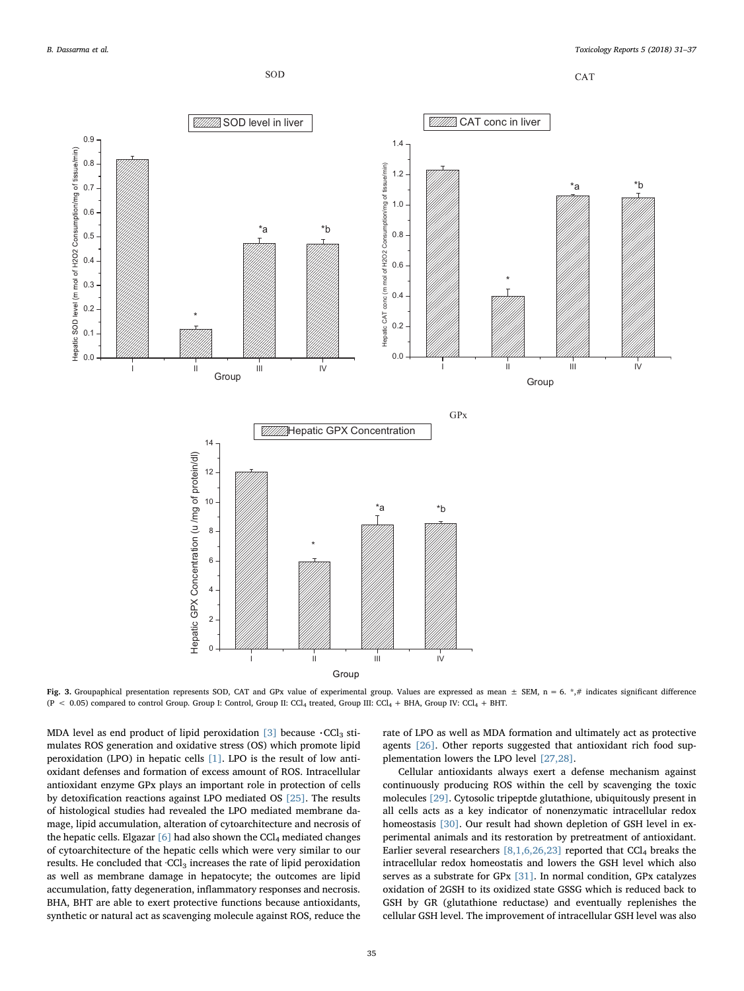

CAT

<span id="page-4-0"></span>

Fig. 3. Groupaphical presentation represents SOD, CAT and GPx value of experimental group. Values are expressed as mean  $\pm$  SEM, n = 6. \*,# indicates significant difference  $(P < 0.05)$  compared to control Group. Group I: Control, Group II: CCl<sub>4</sub> treated, Group III: CCl<sub>4</sub> + BHA, Group IV: CCl<sub>4</sub> + BHT.

MDA level as end product of lipid peroxidation  $[3]$  because  $\cdot$ CCl<sub>3</sub> stimulates ROS generation and oxidative stress (OS) which promote lipid peroxidation (LPO) in hepatic cells [\[1\].](#page-5-0) LPO is the result of low antioxidant defenses and formation of excess amount of ROS. Intracellular antioxidant enzyme GPx plays an important role in protection of cells by detoxification reactions against LPO mediated OS [\[25\].](#page-6-18) The results of histological studies had revealed the LPO mediated membrane damage, lipid accumulation, alteration of cytoarchitecture and necrosis of the hepatic cells. Elgazar  $[6]$  had also shown the CCl<sub>4</sub> mediated changes of cytoarchitecture of the hepatic cells which were very similar to our results. He concluded that ·CCl<sub>3</sub> increases the rate of lipid peroxidation as well as membrane damage in hepatocyte; the outcomes are lipid accumulation, fatty degeneration, inflammatory responses and necrosis. BHA, BHT are able to exert protective functions because antioxidants, synthetic or natural act as scavenging molecule against ROS, reduce the rate of LPO as well as MDA formation and ultimately act as protective agents [\[26\]](#page-6-19). Other reports suggested that antioxidant rich food supplementation lowers the LPO level [\[27,28\]](#page-6-20).

Cellular antioxidants always exert a defense mechanism against continuously producing ROS within the cell by scavenging the toxic molecules [\[29\]](#page-6-21). Cytosolic tripeptde glutathione, ubiquitously present in all cells acts as a key indicator of nonenzymatic intracellular redox homeostasis [\[30\].](#page-6-22) Our result had shown depletion of GSH level in experimental animals and its restoration by pretreatment of antioxidant. Earlier several researchers  $[8,1,6,26,23]$  reported that CCl<sub>4</sub> breaks the intracellular redox homeostatis and lowers the GSH level which also serves as a substrate for GPx [\[31\].](#page-6-23) In normal condition, GPx catalyzes oxidation of 2GSH to its oxidized state GSSG which is reduced back to GSH by GR (glutathione reductase) and eventually replenishes the cellular GSH level. The improvement of intracellular GSH level was also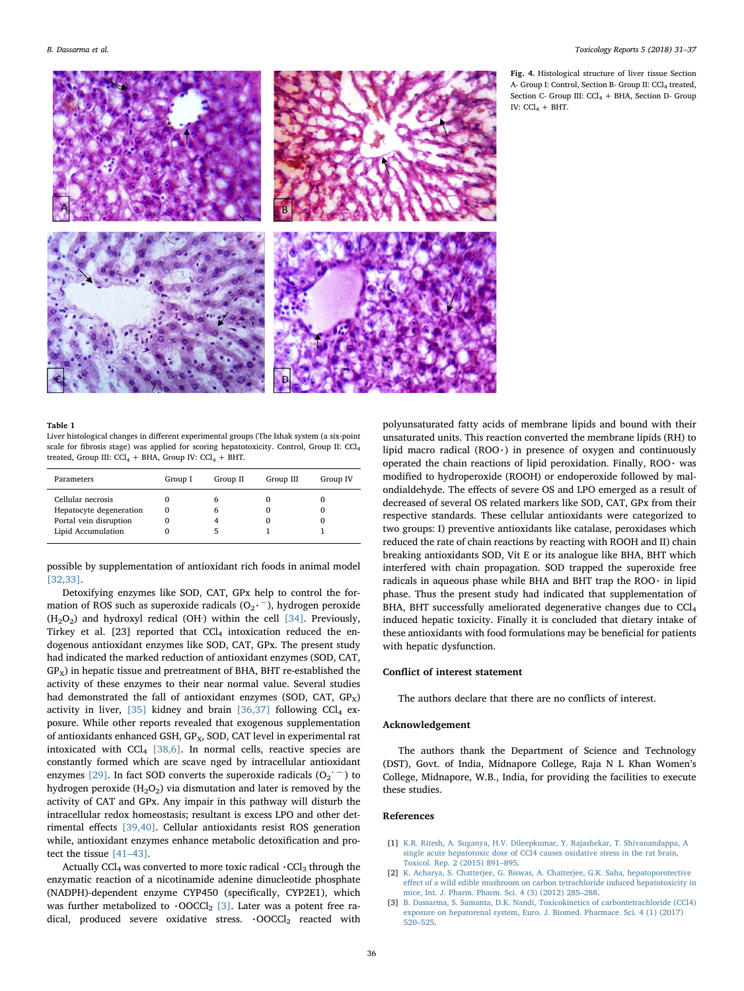<span id="page-5-3"></span>

#### <span id="page-5-4"></span>Table 1

Liver histological changes in different experimental groups (The Ishak system (a six-point scale for fibrosis stage) was applied for scoring hepatotoxicity. Control, Group II: CCl4 treated, Group III:  $CCl_4$  + BHA, Group IV:  $CCl_4$  + BHT.

| Parameters                                                                                   | Group I | Group II     | Group III | Group IV |
|----------------------------------------------------------------------------------------------|---------|--------------|-----------|----------|
| Cellular necrosis<br>Hepatocyte degeneration<br>Portal vein disruption<br>Lipid Accumulation |         | h<br>6<br>ה: |           |          |

possible by supplementation of antioxidant rich foods in animal model [\[32,33\].](#page-6-24)

Detoxifying enzymes like SOD, CAT, GPx help to control the formation of ROS such as superoxide radicals (O<sub>2</sub>,<sup>-</sup>), hydrogen peroxide  $(H<sub>2</sub>O<sub>2</sub>)$  and hydroxyl redical (OH·) within the cell [\[34\]](#page-6-25). Previously, Tirkey et al. [23] reported that  $CCl<sub>4</sub>$  intoxication reduced the endogenous antioxidant enzymes like SOD, CAT, GPx. The present study had indicated the marked reduction of antioxidant enzymes (SOD, CAT,  $GP<sub>x</sub>$ ) in hepatic tissue and pretreatment of BHA, BHT re-established the activity of these enzymes to their near normal value. Several studies had demonstrated the fall of antioxidant enzymes (SOD, CAT,  $GP<sub>x</sub>$ ) activity in liver, [\[35\]](#page-6-26) kidney and brain [\[36,37\]](#page-6-27) following  $CCI<sub>4</sub>$  exposure. While other reports revealed that exogenous supplementation of antioxidants enhanced GSH, GP<sub>x</sub>, SOD, CAT level in experimental rat intoxicated with  $CCl<sub>4</sub>$  [\[38,6\].](#page-6-28) In normal cells, reactive species are constantly formed which are scave nged by intracellular antioxidant enzymes [\[29\]](#page-6-21). In fact SOD converts the superoxide radicals  $(O_2^{\text{-}})$  to hydrogen peroxide  $(H_2O_2)$  via dismutation and later is removed by the activity of CAT and GPx. Any impair in this pathway will disturb the intracellular redox homeostasis; resultant is excess LPO and other detrimental effects [\[39,40\].](#page-6-29) Cellular antioxidants resist ROS generation while, antioxidant enzymes enhance metabolic detoxification and protect the tissue [\[41](#page-6-30)–43].

Actually CCl<sub>4</sub> was converted to more toxic radical  $\cdot$ CCl<sub>3</sub> through the enzymatic reaction of a nicotinamide adenine dinucleotide phosphate (NADPH)-dependent enzyme CYP450 (specifically, CYP2E1), which was further metabolized to  $\cdot$ OOCCl<sub>2</sub> [\[3\].](#page-5-2) Later was a potent free radical, produced severe oxidative stress.  $\cdot$ OOCCl<sub>2</sub> reacted with

polyunsaturated fatty acids of membrane lipids and bound with their unsaturated units. This reaction converted the membrane lipids (RH) to lipid macro radical  $(ROO·)$  in presence of oxygen and continuously operated the chain reactions of lipid peroxidation. Finally, ROO $\cdot$  was modified to hydroperoxide (ROOH) or endoperoxide followed by malondialdehyde. The effects of severe OS and LPO emerged as a result of decreased of several OS related markers like SOD, CAT, GPx from their respective standards. These cellular antioxidants were categorized to two groups: I) preventive antioxidants like catalase, peroxidases which reduced the rate of chain reactions by reacting with ROOH and II) chain breaking antioxidants SOD, Vit E or its analogue like BHA, BHT which interfered with chain propagation. SOD trapped the superoxide free radicals in aqueous phase while BHA and BHT trap the ROO $\cdot$  in lipid phase. Thus the present study had indicated that supplementation of BHA, BHT successfully ameliorated degenerative changes due to CCl<sub>4</sub> induced hepatic toxicity. Finally it is concluded that dietary intake of these antioxidants with food formulations may be beneficial for patients with hepatic dysfunction.

## Conflict of interest statement

The authors declare that there are no conflicts of interest.

## Acknowledgement

The authors thank the Department of Science and Technology (DST), Govt. of India, Midnapore College, Raja N L Khan Women's College, Midnapore, W.B., India, for providing the facilities to execute these studies.

### References

- <span id="page-5-0"></span>[1] [K.R. Ritesh, A. Suganya, H.V. Dileepkumar, Y. Rajashekar, T. Shivanandappa, A](http://refhub.elsevier.com/S2214-7500(17)30116-6/sbref0005) [single acute hepatotoxic dose of CCl4 causes oxidative stress in the rat brain,](http://refhub.elsevier.com/S2214-7500(17)30116-6/sbref0005) [Toxicol. Rep. 2 \(2015\) 891](http://refhub.elsevier.com/S2214-7500(17)30116-6/sbref0005)–895.
- <span id="page-5-1"></span>[2] [K. Acharya, S. Chatterjee, G. Biswas, A. Chatterjee, G.K. Saha, hepatoporotective](http://refhub.elsevier.com/S2214-7500(17)30116-6/sbref0010) eff[ect of a wild edible mushroom on carbon tetrachloride induced hepatotoxicity in](http://refhub.elsevier.com/S2214-7500(17)30116-6/sbref0010) [mice, Int. J. Pharm. Pharm. Sci. 4 \(3\) \(2012\) 285](http://refhub.elsevier.com/S2214-7500(17)30116-6/sbref0010)–288.
- <span id="page-5-2"></span>[3] [B. Dassarma, S. Samanta, D.K. Nandi, Toxicokinetics of carbontetrachloride \(CCl4\)](http://refhub.elsevier.com/S2214-7500(17)30116-6/sbref0015) [exposure on hepatorenal system, Euro. J. Biomed. Pharmace. Sci. 4 \(1\) \(2017\)](http://refhub.elsevier.com/S2214-7500(17)30116-6/sbref0015) 520–[525.](http://refhub.elsevier.com/S2214-7500(17)30116-6/sbref0015)